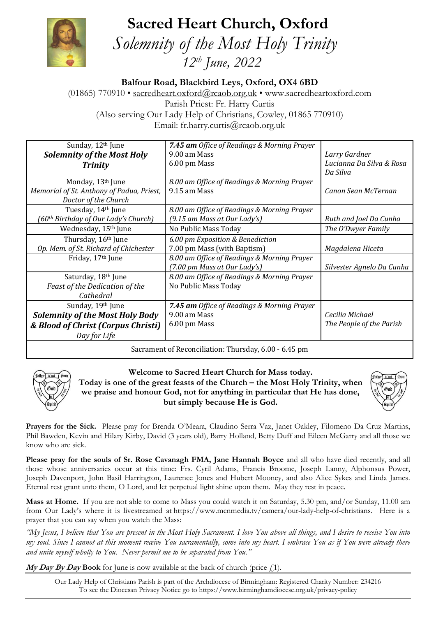**Sacred Heart Church, Oxford**



 *Solemnity of the Most Holy Trinity 12th June, 2022*

**Balfour Road, Blackbird Leys, Oxford, OX4 6BD**

(01865) 770910 • [sacredheart.oxford@rcaob.org.uk](mailto:sacredheart.oxford@rcaob.org.uk) • www.sacredheartoxford.com Parish Priest: Fr. Harry Curtis (Also serving Our Lady Help of Christians, Cowley, 01865 770910) Email: [fr.harry.curtis@rcaob.org.uk](mailto:fr.harry.curtis@rcaob.org.uk)

| Sunday, 12 <sup>th</sup> June                   | 7.45 am Office of Readings & Morning Prayer |                           |
|-------------------------------------------------|---------------------------------------------|---------------------------|
| <b>Solemnity of the Most Holy</b>               | 9.00 am Mass                                | Larry Gardner             |
| <b>Trinity</b>                                  | 6.00 pm Mass                                | Lucianna Da Silva & Rosa  |
|                                                 |                                             | Da Silva                  |
| Monday, 13th June                               | 8.00 am Office of Readings & Morning Prayer |                           |
| Memorial of St. Anthony of Padua, Priest,       | 9.15 am Mass                                | Canon Sean McTernan       |
| Doctor of the Church                            |                                             |                           |
| Tuesday, 14th June                              | 8.00 am Office of Readings & Morning Prayer |                           |
| 60 <sup>th</sup> Birthday of Our Lady's Church) | $(9.15$ am Mass at Our Lady's)              | Ruth and Joel Da Cunha    |
| Wednesday, 15 <sup>th</sup> June                | No Public Mass Today                        | The O'Dwyer Family        |
| Thursday, 16th June                             | 6.00 pm Exposition & Benediction            |                           |
| Op. Mem. of St. Richard of Chichester           | 7.00 pm Mass (with Baptism)                 | Magdalena Hiceta          |
| Friday, 17 <sup>th</sup> June                   | 8.00 am Office of Readings & Morning Prayer |                           |
|                                                 | (7.00 pm Mass at Our Lady's)                | Silvester Agnelo Da Cunha |
| Saturday, 18th June                             | 8.00 am Office of Readings & Morning Prayer |                           |
| Feast of the Dedication of the                  | No Public Mass Today                        |                           |
| Cathedral                                       |                                             |                           |
| Sunday, 19th June                               | 7.45 am Office of Readings & Morning Prayer |                           |
| <b>Solemnity of the Most Holy Body</b>          | 9.00 am Mass                                | Cecilia Michael           |
| & Blood of Christ (Corpus Christi)              | 6.00 pm Mass                                | The People of the Parish  |
| Day for Life                                    |                                             |                           |
|                                                 |                                             |                           |

Sacrament of Reconciliation: Thursday, 6.00 - 6.45 pm



**Welcome to Sacred Heart Church for Mass today. Today is one of the great feasts of the Church – the Most Holy Trinity, when we praise and honour God, not for anything in particular that He has done, but simply because He is God.**



**Prayers for the Sick.** Please pray for Brenda O'Meara, Claudino Serra Vaz, Janet Oakley, Filomeno Da Cruz Martins, Phil Bawden, Kevin and Hilary Kirby, David (3 years old), Barry Holland, Betty Duff and Eileen McGarry and all those we know who are sick.

**Please pray for the souls of Sr. Rose Cavanagh FMA, Jane Hannah Boyce** and all who have died recently, and all those whose anniversaries occur at this time: Frs. Cyril Adams, Francis Broome, Joseph Lanny, Alphonsus Power, Joseph Davenport, John Basil Harrington, Laurence Jones and Hubert Mooney, and also Alice Sykes and Linda James. Eternal rest grant unto them, O Lord, and let perpetual light shine upon them. May they rest in peace.

**Mass at Home.** If you are not able to come to Mass you could watch it on Saturday, 5.30 pm, and/or Sunday, 11.00 am from Our Lady's where it is livestreamed at [https://www.mcnmedia.tv/camera/our-lady-help-of-christians.](https://www.mcnmedia.tv/camera/our-lady-help-of-christians) Here is a prayer that you can say when you watch the Mass:

*"My Jesus, I believe that You are present in the Most Holy Sacrament. I love You above all things, and I desire to receive You into my soul. Since I cannot at this moment receive You sacramentally, come into my heart. I embrace You as if You were already there and unite myself wholly to You. Never permit me to be separated from You."*

**My Day By Day Book** for June is now available at the back of church (price  $f(1)$ ).

Our Lady Help of Christians Parish is part of the Archdiocese of Birmingham: Registered Charity Number: 234216 To see the Diocesan Privacy Notice go to<https://www.birminghamdiocese.org.uk/privacy-policy>